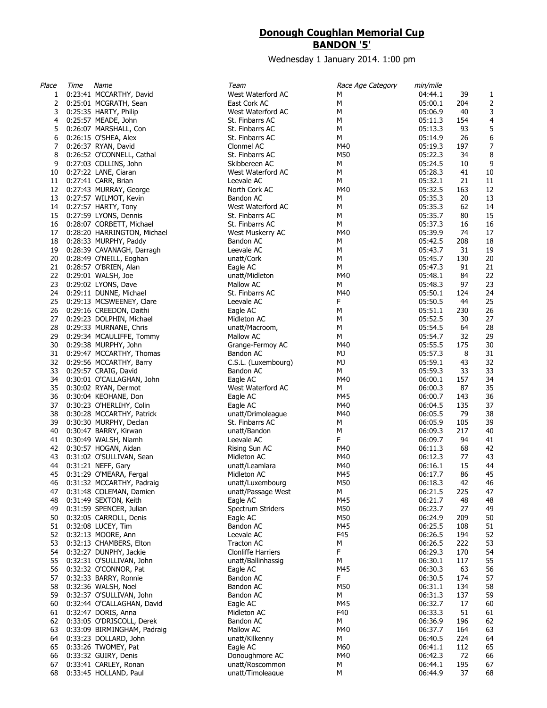## **Donough Coughlan Memorial Cup BANDON '5'**

Wednesday 1 January 2014. 1:00 pm

| Place | Time | Name                         | Team                      | Race Age Category | min/mile |     |                  |
|-------|------|------------------------------|---------------------------|-------------------|----------|-----|------------------|
| 1     |      | 0:23:41 MCCARTHY, David      | West Waterford AC         | М                 | 04:44.1  | 39  | 1                |
| 2     |      | 0:25:01 MCGRATH, Sean        | East Cork AC              | М                 | 05:00.1  | 204 | 2                |
| 3     |      | 0:25:35 HARTY, Philip        | West Waterford AC         | М                 | 05:06.9  | 40  | 3                |
| 4     |      | 0:25:57 MEADE, John          | St. Finbarrs AC           | М                 | 05:11.3  | 154 | $\overline{a}$   |
| 5     |      | 0:26:07 MARSHALL, Con        | St. Finbarrs AC           | М                 | 05:13.3  | 93  | 5                |
| 6     |      | 0:26:15 O'SHEA, Alex         | St. Finbarrs AC           | М                 | 05:14.9  | 26  | 6                |
| 7     |      | 0:26:37 RYAN, David          | Clonmel AC                | M40               | 05:19.3  | 197 | $\boldsymbol{7}$ |
| 8     |      | 0:26:52 O'CONNELL, Cathal    | St. Finbarrs AC           | M50               | 05:22.3  | 34  | 8                |
| 9     |      | 0:27:03 COLLINS, John        | Skibbereen AC             | М                 | 05:24.5  | 10  | 9                |
| 10    |      | 0:27:22 LANE, Ciaran         | West Waterford AC         | М                 | 05:28.3  | 41  | 10               |
| 11    |      | 0:27:41 CARR, Brian          | Leevale AC                | М                 | 05:32.1  | 21  | 11               |
|       |      | 12 0:27:43 MURRAY, George    | North Cork AC             | M40               | 05:32.5  | 163 | 12               |
| 13    |      | 0:27:57 WILMOT, Kevin        | Bandon AC                 | М                 | 05:35.3  | 20  | 13               |
| 14    |      | 0:27:57 HARTY, Tony          | West Waterford AC         | М                 | 05:35.3  | 62  | 14               |
| 15    |      | 0:27:59 LYONS, Dennis        | St. Finbarrs AC           | М                 | 05:35.7  | 80  | 15               |
| 16    |      | 0:28:07 CORBETT, Michael     | St. Finbarrs AC           | М                 | 05:37.3  | 16  | 16               |
| 17    |      | 0:28:20 HARRINGTON, Michael  | West Muskerry AC          | M40               | 05:39.9  | 74  | 17               |
| 18    |      | 0:28:33 MURPHY, Paddy        | Bandon AC                 | М                 | 05:42.5  | 208 | 18               |
| 19    |      | 0:28:39 CAVANAGH, Darragh    | Leevale AC                | М                 | 05:43.7  | 31  | 19               |
| 20    |      | 0:28:49 O'NEILL, Eoghan      | unatt/Cork                | М                 | 05:45.7  | 130 | 20               |
| 21    |      | 0:28:57 O'BRIEN, Alan        | Eagle AC                  | М                 | 05:47.3  | 91  | 21               |
| 22    |      | 0:29:01 WALSH, Joe           | unatt/Midleton            | M40               | 05:48.1  | 84  | 22               |
| 23    |      | 0:29:02 LYONS, Dave          | Mallow AC                 | М                 | 05:48.3  | 97  | 23               |
| 24    |      | 0:29:11 DUNNE, Michael       | St. Finbarrs AC           | M40               | 05:50.1  | 124 | 24               |
| 25    |      | 0:29:13 MCSWEENEY, Clare     | Leevale AC                | F                 | 05:50.5  | 44  | 25               |
| 26    |      | 0:29:16 CREEDON, Daithi      | Eagle AC                  | М                 | 05:51.1  | 230 | 26               |
| 27    |      | 0:29:23 DOLPHIN, Michael     | Midleton AC               | М                 | 05:52.5  | 30  | 27               |
| 28    |      | 0:29:33 MURNANE, Chris       | unatt/Macroom,            | M                 | 05:54.5  | 64  | 28               |
| 29    |      | 0:29:34 MCAULIFFE, Tommy     | Mallow AC                 | М                 | 05:54.7  | 32  | 29               |
| 30    |      | 0:29:38 MURPHY, John         | Grange-Fermoy AC          | M40               | 05:55.5  | 175 | 30               |
| 31    |      | 0:29:47 MCCARTHY, Thomas     | Bandon AC                 | MJ                | 05:57.3  | 8   | 31               |
| 32    |      | 0:29:56 MCCARTHY, Barry      |                           | МJ                | 05:59.1  | 43  | 32               |
| 33    |      |                              | C.S.L. (Luxembourg)       | м                 | 05:59.3  | 33  | 33               |
|       |      | 0:29:57 CRAIG, David         | Bandon AC                 | M40               |          |     |                  |
| 34    |      | 0:30:01 O'CALLAGHAN, John    | Eagle AC                  |                   | 06:00.1  | 157 | 34               |
| 35    |      | 0:30:02 RYAN, Dermot         | West Waterford AC         | м                 | 06:00.3  | 87  | 35               |
| 36    |      | 0:30:04 KEOHANE, Don         | Eagle AC                  | M45               | 06:00.7  | 143 | 36               |
| 37    |      | 0:30:23 O'HERLIHY, Colin     | Eagle AC                  | M40               | 06:04.5  | 135 | 37               |
| 38    |      | 0:30:28 MCCARTHY, Patrick    | unatt/Drimoleague         | M40               | 06:05.5  | 79  | 38               |
| 39    |      | 0:30:30 MURPHY, Declan       | St. Finbarrs AC           | М                 | 06:05.9  | 105 | 39               |
| 40    |      | 0:30:47 BARRY, Kirwan        | unatt/Bandon              | М                 | 06:09.3  | 217 | 40               |
| 41    |      | 0:30:49 WALSH, Niamh         | Leevale AC                | F.                | 06:09.7  | 94  | 41               |
| 42    |      | 0:30:57 HOGAN, Aidan         | Rising Sun AC             | M40               | 06:11.3  | 68  | 42               |
| 43    |      | 0:31:02 O'SULLIVAN, Sean     | Midleton AC               | M40               | 06:12.3  | 77  | 43               |
| 44    |      | 0:31:21 NEFF, Gary           | unatt/Leamlara            | M40               | 06:16.1  | 15  | 44               |
| 45    |      | 0:31:29 O'MEARA, Fergal      | Midleton AC               | M45               | 06:17.7  | 86  | 45               |
|       |      | 46 0:31:32 MCCARTHY, Padraig | unatt/Luxembourg          | M50               | 06:18.3  | 42  | 46               |
| 47    |      | 0:31:48 COLEMAN, Damien      | unatt/Passage West        | м                 | 06:21.5  | 225 | 47               |
| 48    |      | 0:31:49 SEXTON, Keith        | Eagle AC                  | M45               | 06:21.7  | 48  | 48               |
| 49    |      | 0:31:59 SPENCER, Julian      | Spectrum Striders         | M50               | 06:23.7  | 27  | 49               |
| 50    |      | 0:32:05 CARROLL, Denis       | Eagle AC                  | M50               | 06:24.9  | 209 | 50               |
| 51    |      | 0:32:08 LUCEY, Tim           | Bandon AC                 | M45               | 06:25.5  | 108 | 51               |
| 52    |      | 0:32:13 MOORE, Ann           | Leevale AC                | F45               | 06:26.5  | 194 | 52               |
| 53    |      | 0:32:13 CHAMBERS, Elton      | Tracton AC                | М                 | 06:26.5  | 222 | 53               |
| 54    |      | 0:32:27 DUNPHY, Jackie       | <b>Clonliffe Harriers</b> | F.                | 06:29.3  | 170 | 54               |
| 55    |      | 0:32:31 O'SULLIVAN, John     | unatt/Ballinhassig        | М                 | 06:30.1  | 117 | 55               |
| 56    |      | 0:32:32 O'CONNOR, Pat        | Eagle AC                  | M45               | 06:30.3  | 63  | 56               |
| 57    |      | 0:32:33 BARRY, Ronnie        | Bandon AC                 | F.                | 06:30.5  | 174 | 57               |
| 58    |      | 0:32:36 WALSH, Noel          | Bandon AC                 | M50               | 06:31.1  | 134 | 58               |
| 59    |      | 0:32:37 O'SULLIVAN, John     | Bandon AC                 | М                 | 06:31.3  | 137 | 59               |
| 60    |      | 0:32:44 O'CALLAGHAN, David   | Eagle AC                  | M45               | 06:32.7  | 17  | 60               |
| 61    |      | 0:32:47 DORIS, Anna          | Midleton AC               | F40               | 06:33.3  | 51  | 61               |
| 62    |      | 0:33:05 O'DRISCOLL, Derek    | Bandon AC                 | М                 | 06:36.9  | 196 | 62               |
| 63    |      | 0:33:09 BIRMINGHAM, Padraig  | Mallow AC                 | M40               | 06:37.7  | 164 | 63               |
| 64    |      | 0:33:23 DOLLARD, John        | unatt/Kilkenny            | М                 | 06:40.5  | 224 | 64               |
| 65    |      | 0:33:26 TWOMEY, Pat          | Eagle AC                  | M60               | 06:41.1  | 112 | 65               |
| 66    |      | 0:33:32 GUIRY, Denis         | Donoughmore AC            | M40               | 06:42.3  | 72  | 66               |
| 67    |      | 0:33:41 CARLEY, Ronan        | unatt/Roscommon           | М                 | 06:44.1  | 195 | 67               |
| 68    |      | 0:33:45 HOLLAND, Paul        | unatt/Timoleaque          | М                 | 06:44.9  | 37  | 68               |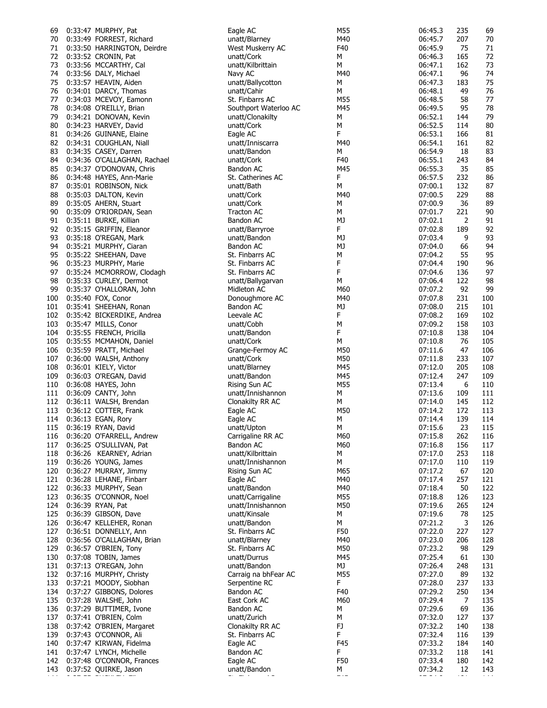| 69  | 0:33:47 MURPHY, Pat          | Eagle AC              | M55         | 06:45.3 | 235 | 69  |
|-----|------------------------------|-----------------------|-------------|---------|-----|-----|
| 70  | 0:33:49 FORREST, Richard     | unatt/Blarney         | M40         | 06:45.7 | 207 | 70  |
|     |                              |                       |             |         |     |     |
| 71  | 0:33:50 HARRINGTON, Deirdre  | West Muskerry AC      | F40         | 06:45.9 | 75  | 71  |
| 72  | 0:33:52 CRONIN, Pat          | unatt/Cork            | М           | 06:46.3 | 165 | 72  |
| 73  | 0:33:56 MCCARTHY, Cal        | unatt/Kilbrittain     | М           | 06:47.1 | 162 | 73  |
| 74  | 0:33:56 DALY, Michael        | Navy AC               | M40         | 06:47.1 | 96  | 74  |
| 75  | 0:33:57 HEAVIN, Aiden        | unatt/Ballycotton     | М           | 06:47.3 | 183 | 75  |
|     |                              |                       |             |         |     |     |
| 76  | 0:34:01 DARCY, Thomas        | unatt/Cahir           | М           | 06:48.1 | 49  | 76  |
| 77  | 0:34:03 MCEVOY, Eamonn       | St. Finbarrs AC       | M55         | 06:48.5 | 58  | 77  |
| 78  | 0:34:08 O'REILLY, Brian      | Southport Waterloo AC | M45         | 06:49.5 | 95  | 78  |
| 79  | 0:34:21 DONOVAN, Kevin       | unatt/Clonakilty      | М           | 06:52.1 | 144 | 79  |
|     |                              |                       |             |         |     |     |
| 80  | 0:34:23 HARVEY, David        | unatt/Cork            | М           | 06:52.5 | 114 | 80  |
| 81  | 0:34:26 GUINANE, Elaine      | Eagle AC              | F           | 06:53.1 | 166 | 81  |
| 82  | 0:34:31 COUGHLAN, Niall      | unatt/Inniscarra      | M40         | 06:54.1 | 161 | 82  |
| 83  | 0:34:35 CASEY, Darren        | unatt/Bandon          | М           | 06:54.9 | 18  | 83  |
|     |                              |                       |             |         |     |     |
| 84  | 0:34:36 O'CALLAGHAN, Rachael | unatt/Cork            | F40         | 06:55.1 | 243 | 84  |
| 85  | 0:34:37 O'DONOVAN, Chris     | Bandon AC             | M45         | 06:55.3 | 35  | 85  |
| 86  | 0:34:48 HAYES, Ann-Marie     | St. Catherines AC     | F           | 06:57.5 | 232 | 86  |
| 87  | 0:35:01 ROBINSON, Nick       | unatt/Bath            | М           | 07:00.1 | 132 | 87  |
|     |                              |                       |             |         |     |     |
| 88  | 0:35:03 DALTON, Kevin        | unatt/Cork            | M40         | 07:00.5 | 229 | 88  |
| 89  | 0:35:05 AHERN, Stuart        | unatt/Cork            | М           | 07:00.9 | 36  | 89  |
| 90  | 0:35:09 O'RIORDAN, Sean      | <b>Tracton AC</b>     | М           | 07:01.7 | 221 | 90  |
| 91  | 0:35:11 BURKE, Killian       | Bandon AC             | MJ          | 07:02.1 | 2   | 91  |
|     |                              |                       | F           |         |     |     |
| 92  | 0:35:15 GRIFFIN, Eleanor     | unatt/Barryroe        |             | 07:02.8 | 189 | 92  |
| 93  | 0:35:18 O'REGAN, Mark        | unatt/Bandon          | МJ          | 07:03.4 | 9   | 93  |
| 94  | 0:35:21 MURPHY, Ciaran       | Bandon AC             | MJ          | 07:04.0 | 66  | 94  |
| 95  | 0:35:22 SHEEHAN, Dave        | St. Finbarrs AC       | М           | 07:04.2 | 55  | 95  |
|     | 0:35:23 MURPHY, Marie        | St. Finbarrs AC       | F           | 07:04.4 | 190 | 96  |
| 96  |                              |                       |             |         |     |     |
| 97  | 0:35:24 MCMORROW, Clodagh    | St. Finbarrs AC       | F           | 07:04.6 | 136 | 97  |
| 98  | 0:35:33 CURLEY, Dermot       | unatt/Ballygarvan     | М           | 07:06.4 | 122 | 98  |
| 99  | 0:35:37 O'HALLORAN, John     | Midleton AC           | M60         | 07:07.2 | 92  | 99  |
| 100 | 0:35:40 FOX, Conor           | Donoughmore AC        | M40         | 07:07.8 | 231 | 100 |
|     |                              |                       |             |         |     |     |
| 101 | 0:35:41 SHEEHAN, Ronan       | Bandon AC             | MJ          | 07:08.0 | 215 | 101 |
| 102 | 0:35:42 BICKERDIKE, Andrea   | Leevale AC            | F           | 07:08.2 | 169 | 102 |
| 103 | 0:35:47 MILLS, Conor         | unatt/Cobh            | М           | 07:09.2 | 158 | 103 |
| 104 | 0:35:55 FRENCH, Pricilla     | unatt/Bandon          | F           | 07:10.8 | 138 | 104 |
|     |                              |                       |             |         |     |     |
| 105 | 0:35:55 MCMAHON, Daniel      | unatt/Cork            | М           | 07:10.8 | 76  | 105 |
| 106 | 0:35:59 PRATT, Michael       | Grange-Fermoy AC      | M50         | 07:11.6 | 47  | 106 |
| 107 | 0:36:00 WALSH, Anthony       | unatt/Cork            | M50         | 07:11.8 | 233 | 107 |
| 108 | 0:36:01 KIELY, Victor        | unatt/Blarney         | M45         | 07:12.0 | 205 | 108 |
|     |                              |                       |             |         |     |     |
| 109 | 0:36:03 O'REGAN, David       | unatt/Bandon          | M45         | 07:12.4 | 247 | 109 |
| 110 | 0:36:08 HAYES, John          | Rising Sun AC         | M55         | 07:13.4 | 6   | 110 |
| 111 | 0:36:09 CANTY, John          | unatt/Innishannon     | М           | 07:13.6 | 109 | 111 |
| 112 | 0:36:11 WALSH, Brendan       | Clonakilty RR AC      | М           | 07:14.0 | 145 | 112 |
|     |                              |                       |             | 07:14.2 |     |     |
| 113 | 0:36:12 COTTER, Frank        | Eagle AC              | M50         |         | 172 | 113 |
| 114 | 0:36:13 EGAN, Rory           | Eagle AC              | М           | 07:14.4 | 139 | 114 |
|     | 115 0:36:19 RYAN, David      | unatt/Upton           | М           | 07:15.6 | 23  | 115 |
| 116 | 0:36:20 O'FARRELL, Andrew    | Carrigaline RR AC     | M60         | 07:15.8 | 262 | 116 |
|     | 117 0:36:25 O'SULLIVAN, Pat  | Bandon AC             | M60         | 07:16.8 | 156 | 117 |
|     |                              |                       |             |         |     |     |
|     | 118 0:36:26 KEARNEY, Adrian  | unatt/Kilbrittain     | М           | 07:17.0 | 253 | 118 |
| 119 | 0:36:26 YOUNG, James         | unatt/Innishannon     | М           | 07:17.0 | 110 | 119 |
| 120 | 0:36:27 MURRAY, Jimmy        | Rising Sun AC         | M65         | 07:17.2 | 67  | 120 |
| 121 | 0:36:28 LEHANE, Finbarr      | Eagle AC              | M40         | 07:17.4 | 257 | 121 |
|     |                              | unatt/Bandon          |             |         |     |     |
| 122 | 0:36:33 MURPHY, Sean         |                       | M40         | 07:18.4 | 50  | 122 |
| 123 | 0:36:35 O'CONNOR, Noel       | unatt/Carrigaline     | M55         | 07:18.8 | 126 | 123 |
| 124 | 0:36:39 RYAN, Pat            | unatt/Innishannon     | M50         | 07:19.6 | 265 | 124 |
| 125 | 0:36:39 GIBSON, Dave         | unatt/Kinsale         | М           | 07:19.6 | 78  | 125 |
|     | 0:36:47 KELLEHER, Ronan      | unatt/Bandon          | М           | 07:21.2 | 3   | 126 |
| 126 |                              |                       |             |         |     |     |
| 127 | 0:36:51 DONNELLY, Ann        | St. Finbarrs AC       | F50         | 07:22.0 | 227 | 127 |
| 128 | 0:36:56 O'CALLAGHAN, Brian   | unatt/Blarney         | M40         | 07:23.0 | 206 | 128 |
| 129 | 0:36:57 O'BRIEN, Tony        | St. Finbarrs AC       | M50         | 07:23.2 | 98  | 129 |
| 130 | 0:37:08 TOBIN, James         | unatt/Durrus          | M45         | 07:25.4 | 61  | 130 |
|     |                              |                       |             |         |     |     |
| 131 | 0:37:13 O'REGAN, John        | unatt/Bandon          | МJ          | 07:26.4 | 248 | 131 |
| 132 | 0:37:16 MURPHY, Christy      | Carraig na bhFear AC  | M55         | 07:27.0 | 89  | 132 |
| 133 | 0:37:21 MOODY, Siobhan       | Serpentine RC         | F           | 07:28.0 | 237 | 133 |
| 134 | 0:37:27 GIBBONS, Dolores     | Bandon AC             | F40         | 07:29.2 | 250 | 134 |
| 135 | 0:37:28 WALSHE, John         | East Cork AC          | M60         | 07:29.4 | 7   | 135 |
|     |                              |                       |             |         |     |     |
| 136 | 0:37:29 BUTTIMER, Ivone      | Bandon AC             | М           | 07:29.6 | 69  | 136 |
| 137 | 0:37:41 O'BRIEN, Colm        | unatt/Zurich          | М           | 07:32.0 | 127 | 137 |
| 138 | 0:37:42 O'BRIEN, Margaret    | Clonakilty RR AC      | FJ          | 07:32.2 | 140 | 138 |
| 139 | 0:37:43 O'CONNOR, Ali        | St. Finbarrs AC       | F           | 07:32.4 | 116 | 139 |
|     |                              |                       |             |         |     |     |
| 140 | 0:37:47 KIRWAN, Fidelma      | Eagle AC              | F45         | 07:33.2 | 184 | 140 |
| 141 | 0:37:47 LYNCH, Michelle      | Bandon AC             | F           | 07:33.2 | 118 | 141 |
| 142 | 0:37:48 O'CONNOR, Frances    | Eagle AC              | F50         | 07:33.4 | 180 | 142 |
| 143 | 0:37:52 QUIRKE, Jason        | unatt/Bandon          | м           | 07:34.2 | 12  | 143 |
|     |                              |                       | $- \cdot -$ |         |     |     |
|     |                              |                       |             |         |     |     |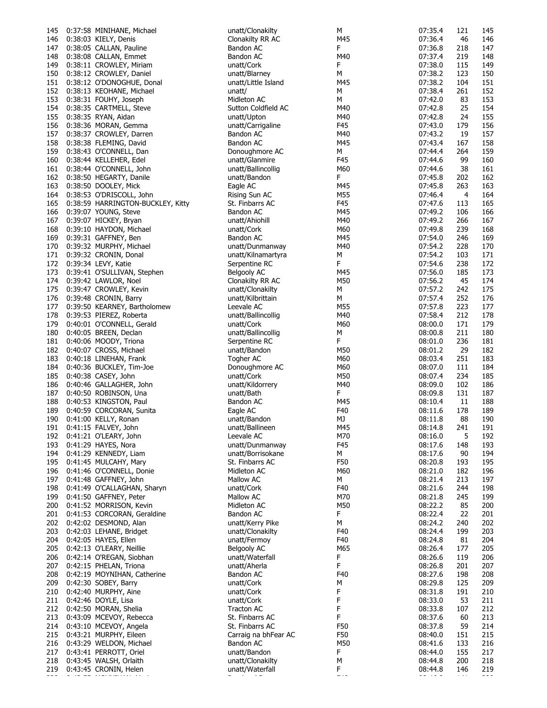| 145 | 0:37:58 MINIHANE, Michael         | unatt/Clonakilty     | М                                                                                                    | 07:35.4 | 121 | 145 |
|-----|-----------------------------------|----------------------|------------------------------------------------------------------------------------------------------|---------|-----|-----|
| 146 | 0:38:03 KIELY, Denis              | Clonakilty RR AC     | M45                                                                                                  | 07:36.4 | 46  | 146 |
| 147 | 0:38:05 CALLAN, Pauline           | Bandon AC            | F                                                                                                    | 07:36.8 | 218 | 147 |
|     |                                   |                      |                                                                                                      |         |     |     |
| 148 | 0:38:08 CALLAN, Emmet             | Bandon AC            | M40                                                                                                  | 07:37.4 | 219 | 148 |
| 149 | 0:38:11 CROWLEY, Miriam           | unatt/Cork           | F                                                                                                    | 07:38.0 | 115 | 149 |
| 150 | 0:38:12 CROWLEY, Daniel           | unatt/Blarney        | М                                                                                                    | 07:38.2 | 123 | 150 |
| 151 | 0:38:12 O'DONOGHUE, Donal         | unatt/Little Island  | M45                                                                                                  | 07:38.2 | 104 | 151 |
| 152 | 0:38:13 KEOHANE, Michael          | unatt/               | М                                                                                                    | 07:38.4 | 261 | 152 |
|     |                                   |                      |                                                                                                      |         |     |     |
| 153 | 0:38:31 FOUHY, Joseph             | Midleton AC          | М                                                                                                    | 07:42.0 | 83  | 153 |
| 154 | 0:38:35 CARTMELL, Steve           | Sutton Coldfield AC  | M40                                                                                                  | 07:42.8 | 25  | 154 |
| 155 | 0:38:35 RYAN, Aidan               | unatt/Upton          | M40                                                                                                  | 07:42.8 | 24  | 155 |
| 156 | 0:38:36 MORAN, Gemma              | unatt/Carrigaline    | F45                                                                                                  | 07:43.0 | 179 | 156 |
|     |                                   |                      |                                                                                                      |         |     |     |
| 157 | 0:38:37 CROWLEY, Darren           | Bandon AC            | M40                                                                                                  | 07:43.2 | 19  | 157 |
| 158 | 0:38:38 FLEMING, David            | Bandon AC            | M45                                                                                                  | 07:43.4 | 167 | 158 |
| 159 | 0:38:43 O'CONNELL, Dan            | Donoughmore AC       | M                                                                                                    | 07:44.4 | 264 | 159 |
| 160 | 0:38:44 KELLEHER, Edel            | unatt/Glanmire       | F45                                                                                                  | 07:44.6 | 99  | 160 |
|     |                                   |                      | M60                                                                                                  | 07:44.6 | 38  |     |
| 161 | 0:38:44 O'CONNELL, John           | unatt/Ballincollig   |                                                                                                      |         |     | 161 |
| 162 | 0:38:50 HEGARTY, Danile           | unatt/Bandon         | F                                                                                                    | 07:45.8 | 202 | 162 |
| 163 | 0:38:50 DOOLEY, Mick              | Eagle AC             | M45                                                                                                  | 07:45.8 | 263 | 163 |
| 164 | 0:38:53 O'DRISCOLL, John          | Rising Sun AC        | M55                                                                                                  | 07:46.4 | 4   | 164 |
| 165 | 0:38:59 HARRINGTON-BUCKLEY, Kitty | St. Finbarrs AC      | F45                                                                                                  | 07:47.6 | 113 | 165 |
|     |                                   |                      |                                                                                                      |         |     |     |
| 166 | 0:39:07 YOUNG, Steve              | Bandon AC            | M45                                                                                                  | 07:49.2 | 106 | 166 |
| 167 | 0:39:07 HICKEY, Bryan             | unatt/Ahiohill       | M40                                                                                                  | 07:49.2 | 266 | 167 |
| 168 | 0:39:10 HAYDON, Michael           | unatt/Cork           | M60                                                                                                  | 07:49.8 | 239 | 168 |
| 169 | 0:39:31 GAFFNEY, Ben              | Bandon AC            | M45                                                                                                  | 07:54.0 | 246 | 169 |
|     |                                   |                      |                                                                                                      |         |     |     |
|     | 170 0:39:32 MURPHY, Michael       | unatt/Dunmanway      | M40                                                                                                  | 07:54.2 | 228 | 170 |
| 171 | 0:39:32 CRONIN, Donal             | unatt/Kilnamartyra   | М                                                                                                    | 07:54.2 | 103 | 171 |
| 172 | 0:39:34 LEVY, Katie               | Serpentine RC        | F                                                                                                    | 07:54.6 | 238 | 172 |
| 173 | 0:39:41 O'SULLIVAN, Stephen       | Belgooly AC          | M45                                                                                                  | 07:56.0 | 185 | 173 |
|     |                                   |                      |                                                                                                      |         |     |     |
| 174 | 0:39:42 LAWLOR, Noel              | Clonakilty RR AC     | M50                                                                                                  | 07:56.2 | 45  | 174 |
| 175 | 0:39:47 CROWLEY, Kevin            | unatt/Clonakilty     | М                                                                                                    | 07:57.2 | 242 | 175 |
| 176 | 0:39:48 CRONIN, Barry             | unatt/Kilbrittain    | М                                                                                                    | 07:57.4 | 252 | 176 |
| 177 | 0:39:50 KEARNEY, Bartholomew      | Leevale AC           | M55                                                                                                  | 07:57.8 | 223 | 177 |
|     |                                   |                      |                                                                                                      |         |     |     |
| 178 | 0:39:53 PIEREZ, Roberta           | unatt/Ballincollig   | M40                                                                                                  | 07:58.4 | 212 | 178 |
| 179 | 0:40:01 O'CONNELL, Gerald         | unatt/Cork           | M60                                                                                                  | 08:00.0 | 171 | 179 |
| 180 | 0:40:05 BREEN, Declan             | unatt/Ballincollig   | М                                                                                                    | 08:00.8 | 211 | 180 |
| 181 | 0:40:06 MOODY, Triona             | Serpentine RC        | F                                                                                                    | 08:01.0 | 236 | 181 |
| 182 |                                   | unatt/Bandon         | M50                                                                                                  | 08:01.2 | 29  | 182 |
|     | 0:40:07 CROSS, Michael            |                      |                                                                                                      |         |     |     |
| 183 | 0:40:18 LINEHAN, Frank            | Togher AC            | M60                                                                                                  | 08:03.4 | 251 | 183 |
| 184 | 0:40:36 BUCKLEY, Tim-Joe          | Donoughmore AC       | M60                                                                                                  | 08:07.0 | 111 | 184 |
| 185 | 0:40:38 CASEY, John               | unatt/Cork           | M50                                                                                                  | 08:07.4 | 234 | 185 |
| 186 | 0:40:46 GALLAGHER, John           | unatt/Kildorrery     | M40                                                                                                  | 08:09.0 | 102 | 186 |
|     |                                   |                      |                                                                                                      |         |     |     |
| 187 | 0:40:50 ROBINSON, Una             | unatt/Bath           | F                                                                                                    | 08:09.8 | 131 | 187 |
| 188 | 0:40:53 KINGSTON, Paul            | Bandon AC            | M45                                                                                                  | 08:10.4 | 11  | 188 |
| 189 | 0:40:59 CORCORAN, Sunita          | Eagle AC             | F40                                                                                                  | 08:11.6 | 178 | 189 |
| 190 | 0:41:00 KELLY, Ronan              | unatt/Bandon         | MJ                                                                                                   | 08:11.8 | 88  | 190 |
|     |                                   |                      |                                                                                                      |         |     |     |
| 191 | 0:41:15 FALVEY, John              | unatt/Ballineen      | M45                                                                                                  | 08:14.8 | 241 | 191 |
|     |                                   | Leevale AC           |                                                                                                      |         |     | 192 |
|     | 192 0:41:21 O'LEARY, John         |                      | M70                                                                                                  | 08:16.0 | 5   |     |
|     | 193 0:41:29 HAYES, Nora           |                      |                                                                                                      | 08:17.6 | 148 | 193 |
|     |                                   | unatt/Dunmanway      | F45                                                                                                  |         |     |     |
|     | 194 0:41:29 KENNEDY, Liam         | unatt/Borrisokane    | м                                                                                                    | 08:17.6 | 90  | 194 |
|     | 195 0:41:45 MULCAHY, Mary         | St. Finbarrs AC      | F50                                                                                                  | 08:20.8 | 193 | 195 |
| 196 | 0:41:46 O'CONNELL, Donie          | Midleton AC          | M60                                                                                                  | 08:21.0 | 182 | 196 |
| 197 | 0:41:48 GAFFNEY, John             | Mallow AC            | М                                                                                                    | 08:21.4 | 213 | 197 |
|     |                                   |                      |                                                                                                      |         |     |     |
| 198 | 0:41:49 O'CALLAGHAN, Sharyn       | unatt/Cork           | F40                                                                                                  | 08:21.6 | 244 | 198 |
| 199 | 0:41:50 GAFFNEY, Peter            | Mallow AC            | M70                                                                                                  | 08:21.8 | 245 | 199 |
| 200 | 0:41:52 MORRISON, Kevin           | Midleton AC          | M50                                                                                                  | 08:22.2 | 85  | 200 |
| 201 | 0:41:53 CORCORAN, Geraldine       | Bandon AC            | F.                                                                                                   | 08:22.4 | 22  | 201 |
|     |                                   |                      |                                                                                                      |         |     |     |
| 202 | 0:42:02 DESMOND, Alan             | unatt/Kerry Pike     | M                                                                                                    | 08:24.2 | 240 | 202 |
| 203 | 0:42:03 LEHANE, Bridget           | unatt/Clonakilty     | F40                                                                                                  | 08:24.4 | 199 | 203 |
|     | 204 0:42:05 HAYES, Ellen          | unatt/Fermoy         | F40                                                                                                  | 08:24.8 | 81  | 204 |
| 205 | 0:42:13 O'LEARY, Neillie          | Belgooly AC          | M65                                                                                                  | 08:26.4 | 177 | 205 |
| 206 |                                   | unatt/Waterfall      | F                                                                                                    | 08:26.6 | 119 | 206 |
|     | 0:42:14 O'REGAN, Siobhan          |                      |                                                                                                      |         |     |     |
| 207 | 0:42:15 PHELAN, Triona            | unatt/Aherla         | F                                                                                                    | 08:26.8 | 201 | 207 |
| 208 | 0:42:19 MOYNIHAN, Catherine       | Bandon AC            | F40                                                                                                  | 08:27.6 | 198 | 208 |
| 209 | 0:42:30 SOBEY, Barry              | unatt/Cork           | М                                                                                                    | 08:29.8 | 125 | 209 |
| 210 | 0:42:40 MURPHY, Aine              | unatt/Cork           | F                                                                                                    | 08:31.8 | 191 | 210 |
|     |                                   | unatt/Cork           | F                                                                                                    |         | 53  |     |
| 211 | 0:42:46 DOYLE, Lisa               |                      |                                                                                                      | 08:33.0 |     | 211 |
| 212 | 0:42:50 MORAN, Shelia             | Tracton AC           | F                                                                                                    | 08:33.8 | 107 | 212 |
| 213 | 0:43:09 MCEVOY, Rebecca           | St. Finbarrs AC      | F                                                                                                    | 08:37.6 | 60  | 213 |
| 214 | 0:43:10 MCEVOY, Angela            | St. Finbarrs AC      | F50                                                                                                  | 08:37.8 | 59  | 214 |
| 215 | 0:43:21 MURPHY, Eileen            | Carraig na bhFear AC | F50                                                                                                  | 08:40.0 | 151 |     |
|     |                                   |                      |                                                                                                      |         |     | 215 |
| 216 | 0:43:29 WELDON, Michael           | Bandon AC            | M50                                                                                                  | 08:41.6 | 133 | 216 |
| 217 | 0:43:41 PERROTT, Oriel            | unatt/Bandon         | F                                                                                                    | 08:44.0 | 155 | 217 |
| 218 | 0:43:45 WALSH, Orlaith            | unatt/Clonakilty     | М                                                                                                    | 08:44.8 | 200 | 218 |
| 219 | 0:43:45 CRONIN, Helen             | unatt/Waterfall      | F.<br>$\frac{1}{2} \left( \frac{1}{2} \right) \left( \frac{1}{2} \right) \left( \frac{1}{2} \right)$ | 08:44.8 | 146 | 219 |